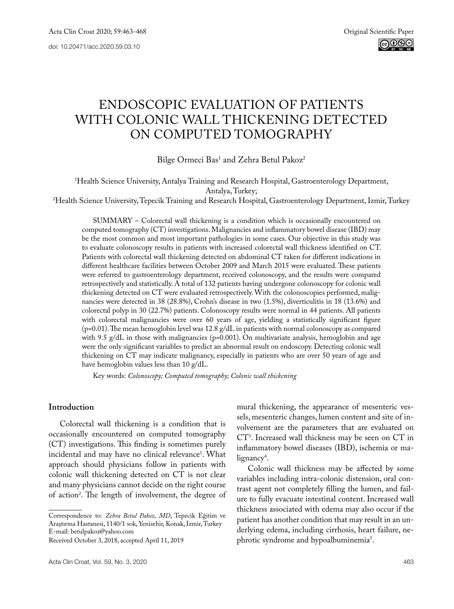# Endoscopic evaluation of patients with colonic wall thickening detected ON COMPUTED TOMOGRAPHY

Bilge Ormeci Bas<sup>1</sup> and Zehra Betul Pakoz<sup>2</sup>

1 Health Science University, Antalya Training and Research Hospital, Gastroenterology Department,

Antalya, Turkey;<br>Health Science University, Tepecik Training and Research Hospital, Gastroenterology Department, Izmir, Turkey?

SUMMARY – Colorectal wall thickening is a condition which is occasionally encountered on computed tomography (CT) investigations. Malignancies and inflammatory bowel disease (IBD) may be the most common and most important pathologies in some cases. Our objective in this study was to evaluate colonoscopy results in patients with increased colorectal wall thickness identified on CT. Patients with colorectal wall thickening detected on abdominal CT taken for different indications in different healthcare facilities between October 2009 and March 2015 were evaluated. These patients were referred to gastroenterology department, received colonoscopy, and the results were compared retrospectively and statistically. A total of 132 patients having undergone colonoscopy for colonic wall thickening detected on CT were evaluated retrospectively. With the colonoscopies performed, malignancies were detected in 38 (28.8%), Crohn's disease in two (1.5%), diverticulitis in 18 (13.6%) and colorectal polyp in 30 (22.7%) patients. Colonoscopy results were normal in 44 patients. All patients with colorectal malignancies were over 60 years of age, yielding a statistically significant figure  $(p=0.01)$ . The mean hemoglobin level was 12.8 g/dL in patients with normal colonoscopy as compared with 9.5  $g/dL$  in those with malignancies (p=0.001). On multivariate analysis, hemoglobin and age were the only significant variables to predict an abnormal result on endoscopy. Detecting colonic wall thickening on CT may indicate malignancy, especially in patients who are over 50 years of age and have hemoglobin values less than 10 g/dL.

Key words: *Colonoscopy; Computed tomography; Colonic wall thickening*

## **Introduction**

Colorectal wall thickening is a condition that is occasionally encountered on computed tomography (CT) investigations. This finding is sometimes purely incidental and may have no clinical relevance1 . What approach should physicians follow in patients with colonic wall thickening detected on CT is not clear and many physicians cannot decide on the right course of action2 . The length of involvement, the degree of

mural thickening, the appearance of mesenteric vessels, mesenteric changes, lumen content and site of involvement are the parameters that are evaluated on CT3 . Increased wall thickness may be seen on CT in inflammatory bowel diseases (IBD), ischemia or malignancy<sup>4</sup>.

Colonic wall thickness may be affected by some variables including intra-colonic distension, oral contrast agent not completely filling the lumen, and failure to fully evacuate intestinal content. Increased wall thickness associated with edema may also occur if the patient has another condition that may result in an underlying edema, including cirrhosis, heart failure, nephrotic syndrome and hypoalbuminemia<sup>5</sup>.

Correspondence to: *Zehra Betul Pakoz, MD*, Tepecik Eğitim ve Araştırma Hastanesi, 1140/1 sok, Yenisehir, Konak, Izmir, Turkey E-mail: [betulpakoz@yahoo.com](mailto:betulpakoz@yahoo.com)

Received October 3, 2018, accepted April 11, 2019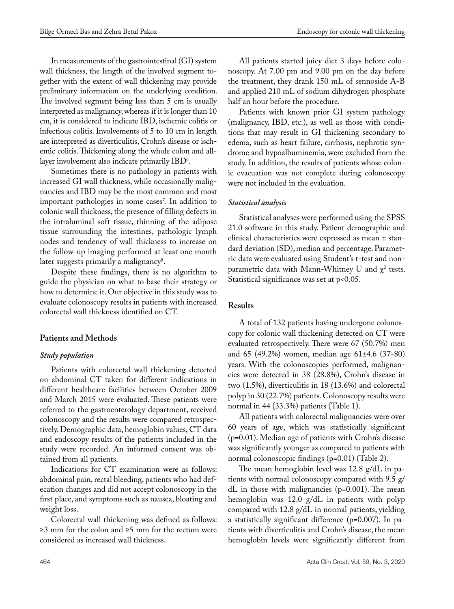In measurements of the gastrointestinal (GI) system wall thickness, the length of the involved segment together with the extent of wall thickening may provide preliminary information on the underlying condition. The involved segment being less than 5 cm is usually interpreted as malignancy, whereas if it is longer than 10 cm, it is considered to indicate IBD, ischemic colitis or infectious colitis. Involvements of 5 to 10 cm in length are interpreted as diverticulitis, Crohn's disease or ischemic colitis. Thickening along the whole colon and alllayer involvement also indicate primarily  $\mathrm{IBD}^\circ.$ 

Sometimes there is no pathology in patients with increased GI wall thickness, while occasionally malignancies and IBD may be the most common and most important pathologies in some cases'. In addition to colonic wall thickness, the presence of filling defects in the intraluminal soft tissue, thinning of the adipose tissue surrounding the intestines, pathologic lymph nodes and tendency of wall thickness to increase on the follow-up imaging performed at least one month later suggests primarily a malignancy<sup>s</sup>.

Despite these findings, there is no algorithm to guide the physician on what to base their strategy or how to determine it. Our objective in this study was to evaluate colonoscopy results in patients with increased colorectal wall thickness identified on CT.

## **Patients and Methods**

## *Study population*

Patients with colorectal wall thickening detected on abdominal CT taken for different indications in different healthcare facilities between October 2009 and March 2015 were evaluated. These patients were referred to the gastroenterology department, received colonoscopy and the results were compared retrospectively. Demographic data, hemoglobin values, CT data and endoscopy results of the patients included in the study were recorded. An informed consent was obtained from all patients.

Indications for CT examination were as follows: abdominal pain, rectal bleeding, patients who had defecation changes and did not accept colonoscopy in the first place, and symptoms such as nausea, bloating and weight loss.

Colorectal wall thickening was defined as follows: ≥3 mm for the colon and ≥5 mm for the rectum were considered as increased wall thickness.

All patients started juicy diet 3 days before colonoscopy. At 7.00 pm and 9.00 pm on the day before the treatment, they drank 150 mL of sennoside A-B and applied 210 mL of sodium dihydrogen phosphate half an hour before the procedure.

Patients with known prior GI system pathology (malignancy, IBD, etc.), as well as those with conditions that may result in GI thickening secondary to edema, such as heart failure, cirrhosis, nephrotic syndrome and hypoalbuminemia, were excluded from the study. In addition, the results of patients whose colonic evacuation was not complete during colonoscopy were not included in the evaluation.

#### *Statistical analysis*

Statistical analyses were performed using the SPSS 21.0 software in this study. Patient demographic and clinical characteristics were expressed as mean ± standard deviation (SD), median and percentage. Parametric data were evaluated using Student's t-test and nonparametric data with Mann-Whitney U and  $\chi^2$  tests. Statistical significance was set at p<0.05.

## **Results**

A total of 132 patients having undergone colonoscopy for colonic wall thickening detected on CT were evaluated retrospectively. There were 67 (50.7%) men and 65 (49.2%) women, median age 61±4.6 (37-80) years. With the colonoscopies performed, malignancies were detected in 38 (28.8%), Crohn's disease in two (1.5%), diverticulitis in 18 (13.6%) and colorectal polyp in 30 (22.7%) patients. Colonoscopy results were normal in 44 (33.3%) patients (Table 1).

All patients with colorectal malignancies were over 60 years of age, which was statistically significant (p=0.01). Median age of patients with Crohn's disease was significantly younger as compared to patients with normal colonoscopic findings (p=0.01) (Table 2).

The mean hemoglobin level was 12.8 g/dL in patients with normal colonoscopy compared with 9.5 g/ dL in those with malignancies (p=0.001). The mean hemoglobin was 12.0 g/dL in patients with polyp compared with 12.8 g/dL in normal patients, yielding a statistically significant difference (p=0.007). In patients with diverticulitis and Crohn's disease, the mean hemoglobin levels were significantly different from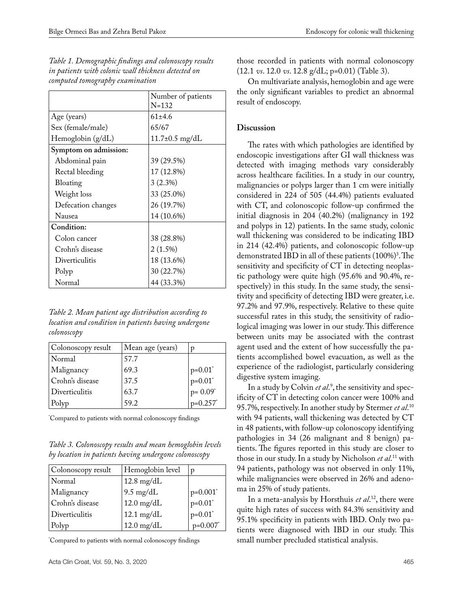|                       | Number of patients           |
|-----------------------|------------------------------|
|                       | $N = 132$                    |
| Age (years)           | $61+4.6$                     |
| Sex (female/male)     | 65/67                        |
| Hemoglobin $(g/dL)$   | $11.7 \pm 0.5 \text{ mg/dL}$ |
| Symptom on admission: |                              |
| Abdominal pain        | 39 (29.5%)                   |
| Rectal bleeding       | 17 (12.8%)                   |
| Bloating              | $3(2.3\%)$                   |
| Weight loss           | 33 (25.0%)                   |
| Defecation changes    | 26 (19.7%)                   |
| Nausea                | 14 (10.6%)                   |
| Condition:            |                              |
| Colon cancer          | 38 (28.8%)                   |
| Crohn's disease       | $2(1.5\%)$                   |
| Diverticulitis        | 18 (13.6%)                   |
| Polyp                 | 30 (22.7%)                   |
| Normal                | 44 (33.3%)                   |

*Table 1. Demographic findings and colonoscopy results in patients with colonic wall thickness detected on computed tomography examination*

*Table 2. Mean patient age distribution according to location and condition in patients having undergone colonoscopy* 

| Colonoscopy result | Mean age (years) | D                                      |
|--------------------|------------------|----------------------------------------|
| Normal             | 57.7             |                                        |
| Malignancy         | 69.3             |                                        |
| Crohn's disease    | 37.5             | $p=0.01^*$<br>$p=0.01^*$<br>$p=0.09^*$ |
| Diverticulitis     | 63.7             |                                        |
| Polyp              | 59.2             | $p=0.257$ *                            |

\* Compared to patients with normal colonoscopy findings

*Table 3. Colonoscopy results and mean hemoglobin levels by location in patients having undergone colonoscopy*

| Colonoscopy result | Hemoglobin level     | D                        |
|--------------------|----------------------|--------------------------|
| Normal             | $12.8 \text{ mg/dL}$ |                          |
| Malignancy         | $9.5 \text{ mg/dL}$  | $p=0.001$ <sup>*</sup>   |
| Crohn's disease    | $12.0$ mg/dL         | $\int_{\text{p=0.01}^*}$ |
| Diverticulitis     | $12.1 \text{ mg/dL}$ | $p=0.01$ <sup>*</sup>    |
| Polyp              | $12.0$ mg/dL         | $p=0.007$ *              |

\* Compared to patients with normal colonoscopy findings

those recorded in patients with normal colonoscopy (12.1 *vs*. 12.0 *vs*. 12.8 g/dL; p=0.01) (Table 3).

On multivariate analysis, hemoglobin and age were the only significant variables to predict an abnormal result of endoscopy.

# **Discussion**

The rates with which pathologies are identified by endoscopic investigations after GI wall thickness was detected with imaging methods vary considerably across healthcare facilities. In a study in our country, malignancies or polyps larger than 1 cm were initially considered in 224 of 505 (44.4%) patients evaluated with CT, and colonoscopic follow-up confirmed the initial diagnosis in 204 (40.2%) (malignancy in 192 and polyps in 12) patients. In the same study, colonic wall thickening was considered to be indicating IBD in 214 (42.4%) patients, and colonoscopic follow-up demonstrated  $IBD$  in all of these patients  $(100\%)^3$ . The sensitivity and specificity of CT in detecting neoplastic pathology were quite high (95.6% and 90.4%, respectively) in this study. In the same study, the sensitivity and specificity of detecting IBD were greater, i.e. 97.2% and 97.9%, respectively. Relative to these quite successful rates in this study, the sensitivity of radiological imaging was lower in our study. This difference between units may be associated with the contrast agent used and the extent of how successfully the patients accomplished bowel evacuation, as well as the experience of the radiologist, particularly considering digestive system imaging.

In a study by Colvin *et al*. 9 , the sensitivity and specificity of CT in detecting colon cancer were 100% and 95.7%, respectively. In another study by Stermer *et al*. 10 with 94 patients, wall thickening was detected by CT in 48 patients, with follow-up colonoscopy identifying pathologies in 34 (26 malignant and 8 benign) patients. The figures reported in this study are closer to those in our study. In a study by Nicholson *et al*. 11 with 94 patients, pathology was not observed in only 11%, while malignancies were observed in 26% and adenoma in 25% of study patients.

In a meta-analysis by Horsthuis *et al*. 12, there were quite high rates of success with 84.3% sensitivity and 95.1% specificity in patients with IBD. Only two patients were diagnosed with IBD in our study. This small number precluded statistical analysis.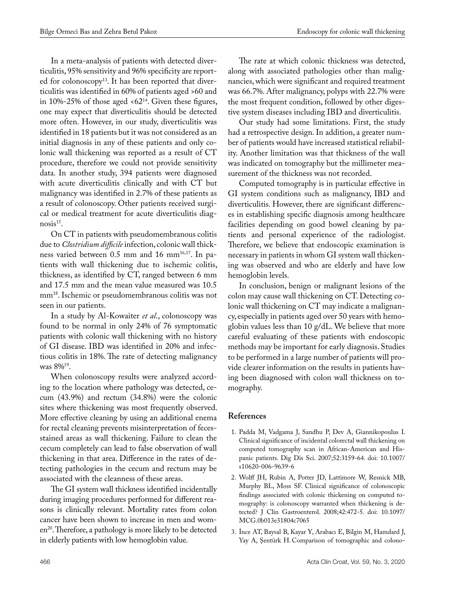In a meta-analysis of patients with detected diverticulitis, 95% sensitivity and 96% specificity are reported for colonoscopy<sup>13</sup>. It has been reported that diverticulitis was identified in 60% of patients aged >60 and in 10%-25% of those aged  $<62^{14}$ . Given these figures, one may expect that diverticulitis should be detected more often. However, in our study, diverticulitis was identified in 18 patients but it was not considered as an initial diagnosis in any of these patients and only colonic wall thickening was reported as a result of CT procedure, therefore we could not provide sensitivity data. In another study, 394 patients were diagnosed with acute diverticulitis clinically and with CT but malignancy was identified in 2.7% of these patients as a result of colonoscopy. Other patients received surgical or medical treatment for acute diverticulitis diagnosis<sup>15</sup>.

On CT in patients with pseudomembranous colitis due to *Clostridium difficile* infection, colonic wall thickness varied between 0.5 mm and 16 mm<sup>16,17</sup>. In patients with wall thickening due to ischemic colitis, thickness, as identified by CT, ranged between 6 mm and 17.5 mm and the mean value measured was 10.5 mm18. Ischemic or pseudomembranous colitis was not seen in our patients.

In a study by Al-Kowaiter *et al*., colonoscopy was found to be normal in only 24% of 76 symptomatic patients with colonic wall thickening with no history of GI disease. IBD was identified in 20% and infectious colitis in 18%. The rate of detecting malignancy was 8%19.

When colonoscopy results were analyzed according to the location where pathology was detected, cecum (43.9%) and rectum (34.8%) were the colonic sites where thickening was most frequently observed. More effective cleaning by using an additional enema for rectal cleaning prevents misinterpretation of fecesstained areas as wall thickening. Failure to clean the cecum completely can lead to false observation of wall thickening in that area. Difference in the rates of detecting pathologies in the cecum and rectum may be associated with the cleanness of these areas.

The GI system wall thickness identified incidentally during imaging procedures performed for different reasons is clinically relevant. Mortality rates from colon cancer have been shown to increase in men and women<sup>20</sup>. Therefore, a pathology is more likely to be detected in elderly patients with low hemoglobin value.

The rate at which colonic thickness was detected, along with associated pathologies other than malignancies, which were significant and required treatment was 66.7%. After malignancy, polyps with 22.7% were the most frequent condition, followed by other digestive system diseases including IBD and diverticulitis.

Our study had some limitations. First, the study had a retrospective design. In addition, a greater number of patients would have increased statistical reliability. Another limitation was that thickness of the wall was indicated on tomography but the millimeter measurement of the thickness was not recorded.

Computed tomography is in particular effective in GI system conditions such as malignancy, IBD and diverticulitis. However, there are significant differences in establishing specific diagnosis among healthcare facilities depending on good bowel cleaning by patients and personal experience of the radiologist. Therefore, we believe that endoscopic examination is necessary in patients in whom GI system wall thickening was observed and who are elderly and have low hemoglobin levels.

In conclusion, benign or malignant lesions of the colon may cause wall thickening on CT. Detecting colonic wall thickening on CT may indicate a malignancy, especially in patients aged over 50 years with hemoglobin values less than 10 g/dL. We believe that more careful evaluating of these patients with endoscopic methods may be important for early diagnosis. Studies to be performed in a large number of patients will provide clearer information on the results in patients having been diagnosed with colon wall thickness on tomography.

# **References**

- 1. Padda M, Vadgama J, Sandhu P, Dev A, Giannikopoulus I. Clinical significance of incidental colorectal wall thickening on computed tomography scan in African-American and Hispanic patients. Dig Dis Sci. 2007;52:3159-64. doi: 10.1007/ s10620-006-9639-6
- 2. Wolff JH, Rubin A, Potter JD, Lattimore W, Resnick MB, Murphy BL, Moss SF. Clinical significance of colonoscopic findings associated with colonic thickening on computed tomography: is colonoscopy warranted when thickening is detected? J Clin Gastroenterol. 2008;42:472-5. doi: 10.1097/ MCG.0b013e31804c7065
- 3. [İnce AT](https://www.ncbi.nlm.nih.gov/pubmed/?term=%C4%B0nce AT%5BAuthor%5D&cauthor=true&cauthor_uid=25550962), [Baysal B,](https://www.ncbi.nlm.nih.gov/pubmed/?term=Baysal B%5BAuthor%5D&cauthor=true&cauthor_uid=25550962) [Kayar Y,](https://www.ncbi.nlm.nih.gov/pubmed/?term=Kayar Y%5BAuthor%5D&cauthor=true&cauthor_uid=25550962) [Arabacı E,](https://www.ncbi.nlm.nih.gov/pubmed/?term=Arabac%C4%B1 E%5BAuthor%5D&cauthor=true&cauthor_uid=25550962) [Bilgin M,](https://www.ncbi.nlm.nih.gov/pubmed/?term=Bilgin M%5BAuthor%5D&cauthor=true&cauthor_uid=25550962) [Hamdard J](https://www.ncbi.nlm.nih.gov/pubmed/?term=Hamdard J%5BAuthor%5D&cauthor=true&cauthor_uid=25550962), [Yay A,](https://www.ncbi.nlm.nih.gov/pubmed/?term=Yay A%5BAuthor%5D&cauthor=true&cauthor_uid=25550962) [Şentürk H](https://www.ncbi.nlm.nih.gov/pubmed/?term=%C5%9Eent%C3%BCrk H%5BAuthor%5D&cauthor=true&cauthor_uid=25550962). Comparison of tomographic and colono-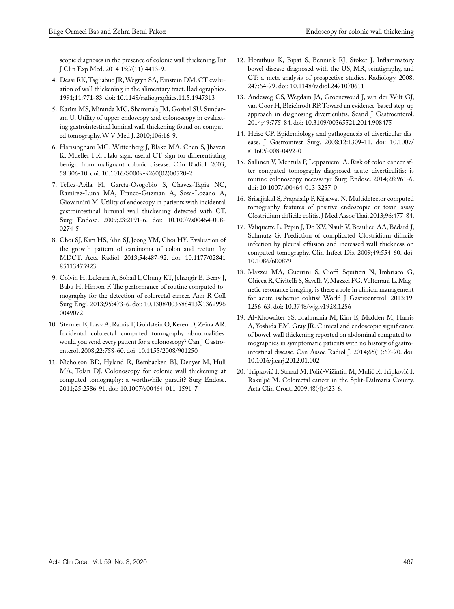scopic diagnoses in the presence of colonic wall thickening. [Int](https://www.ncbi.nlm.nih.gov/pubmed/?term=Comparison+of+tomographic+and+colonoscopic++diagnoses+in+the+presence+of+colonic+wall+thickening) [J Clin Exp Med.](https://www.ncbi.nlm.nih.gov/pubmed/?term=Comparison+of+tomographic+and+colonoscopic++diagnoses+in+the+presence+of+colonic+wall+thickening) 2014 15;7(11):4413-9.

- 4. Desai RK, Tagliabue JR, Wegryn SA, Einstein DM. CT evaluation of wall thickening in the alimentary tract. Radiographics. 1991;11:771-83. doi: [10.1148/radiographics.11.5.1947313](https://doi.org/10.1148/radiographics.11.5.1947313)
- 5. Karim MS, Miranda MC, Shamma'a JM, Goebel SU, Sundaram U. Utility of upper endoscopy and colonoscopy in evaluating gastrointestinal luminal wall thickening found on computed tomography. W V Med J. 2010;106:16-9.
- 6. Harisinghani MG, Wittenberg J, Blake MA, Chen S, Jhaveri K, Mueller PR. Halo sign: useful CT sign for differentiating benign from malignant colonic disease. Clin Radiol. 2003; 58:306-10. doi: [10.1016/S0009-9260\(02\)00520-2](https://doi.org/10.1016/S0009-9260(02)00520-2)
- 7. Tellez-Avila FI, García-Osogobio S, Chavez-Tapia NC, [Ramirez-Luna MA](https://www.ncbi.nlm.nih.gov/pubmed/?term=Ramirez-Luna MA%5BAuthor%5D&cauthor=true&cauthor_uid=19118429), [Franco-Guzman A](https://www.ncbi.nlm.nih.gov/pubmed/?term=Franco-Guzman A%5BAuthor%5D&cauthor=true&cauthor_uid=19118429), [Sosa-Lozano A,](https://www.ncbi.nlm.nih.gov/pubmed/?term=Sosa-Lozano A%5BAuthor%5D&cauthor=true&cauthor_uid=19118429) [Giovannini M.](https://www.ncbi.nlm.nih.gov/pubmed/?term=Giovannini M%5BAuthor%5D&cauthor=true&cauthor_uid=19118429) Utility of endoscopy in patients with incidental gastrointestinal luminal wall thickening detected with CT. Surg Endosc. 2009;23:2191-6. doi: 10.1007/s00464-008- 0274-5
- 8. Choi SJ, Kim HS, Ahn SJ, Jeong YM, Choi HY. Evaluation of the growth pattern of carcinoma of colon and rectum by MDCT. Acta Radiol. 2013;54:487-92. doi: 10.1177/02841 85113475923
- 9. Colvin H, Lukram A, Sohail I, Chung KT, Jehangir E, Berry J, Babu H, Hinson F. The performance of routine computed tomography for the detection of colorectal cancer. Ann R Coll Surg Engl. 2013;95:473-6. doi: 10.1308/003588413X1362996 0049072
- 10. Stermer E, Lavy A, Rainis T, Goldstein O, Keren D, Zeina AR. Incidental colorectal computed tomography abnormalities: would you send every patient for a colonoscopy? Can J Gastroenterol. 2008;22:758-60. doi: [10.1155/2008/901250](http://dx.doi.org/10.1155/2008/901250)
- 11. Nicholson BD, Hyland R, Rembacken BJ, [Denyer M,](https://www.ncbi.nlm.nih.gov/pubmed/?term=Denyer M%5BAuthor%5D&cauthor=true&cauthor_uid=21359889) [Hull](https://www.ncbi.nlm.nih.gov/pubmed/?term=Hull MA%5BAuthor%5D&cauthor=true&cauthor_uid=21359889) [MA](https://www.ncbi.nlm.nih.gov/pubmed/?term=Hull MA%5BAuthor%5D&cauthor=true&cauthor_uid=21359889), [Tolan DJ](https://www.ncbi.nlm.nih.gov/pubmed/?term=Tolan DJ%5BAuthor%5D&cauthor=true&cauthor_uid=21359889). Colonoscopy for colonic wall thickening at computed tomography: a worthwhile pursuit? Surg Endosc. 2011;25:2586-91. doi: 10.1007/s00464-011-1591-7
- 12. Horsthuis K, Bipat S, Bennink RJ, Stoker J. Inflammatory bowel disease diagnosed with the US, MR, scintigraphy, and CT: a meta-analysis of prospective studies. Radiology. 2008; 247:64-79. doi: 10.1148/radiol.2471070611
- 13. Andeweg CS, Wegdam JA, Groenewoud J, van der Wilt GJ, van Goor H, Bleichrodt RP. Toward an evidence-based step-up approach in diagnosing diverticulitis. Scand J Gastroenterol. 2014;49:775-84. doi: 10.3109/00365521.2014.908475
- 14. Heise CP. Epidemiology and pathogenesis of diverticular disease. J Gastrointest Surg. 2008;12:1309-11. doi: 10.1007/ s11605-008-0492-0
- 15. Sallinen V, Mentula P, Leppäniemi A. Risk of colon cancer after computed tomography-diagnosed acute diverticulitis: is routine colonoscopy necessary? Surg Endosc. 2014;28:961-6. doi: 10.1007/s00464-013-3257-0
- 16. Srisajjakul S, Prapaisilp P, Kijsawat N. Multidetector computed tomography features of positive endoscopic or toxin assay Clostridium difficile colitis. J Med Assoc Thai. 2013;96:477-84.
- 17. Valiquette L, Pépin J, Do XV, Nault V, Beaulieu AA, Bédard J, Schmutz G. Prediction of complicated Clostridium difficile infection by pleural effusion and increased wall thickness on computed tomography. Clin Infect Dis. 2009;49:554-60. doi: 10.1086/600879
- 18. Mazzei MA, Guerrini S, Cioffi Squitieri N, Imbriaco G, Chieca R, Civitelli S, Savelli V, Mazzei FG, Volterrani L. Magnetic resonance imaging: is there a role in clinical management for acute ischemic colitis? World J Gastroenterol. 2013;19: 1256-63. doi: 10.3748/wjg.v19.i8.1256
- 19. [Al-Khowaiter SS](http://www.ncbi.nlm.nih.gov/pubmed/?term=Al-Khowaiter SS%5BAuthor%5D&cauthor=true&cauthor_uid=23142403), [Brahmania M,](http://www.ncbi.nlm.nih.gov/pubmed/?term=Brahmania M%5BAuthor%5D&cauthor=true&cauthor_uid=23142403) [Kim E,](http://www.ncbi.nlm.nih.gov/pubmed/?term=Kim E%5BAuthor%5D&cauthor=true&cauthor_uid=23142403) [Madden M,](http://www.ncbi.nlm.nih.gov/pubmed/?term=Madden M%5BAuthor%5D&cauthor=true&cauthor_uid=23142403) [Harris](http://www.ncbi.nlm.nih.gov/pubmed/?term=Harris A%5BAuthor%5D&cauthor=true&cauthor_uid=23142403) [A,](http://www.ncbi.nlm.nih.gov/pubmed/?term=Harris A%5BAuthor%5D&cauthor=true&cauthor_uid=23142403) [Yoshida EM](http://www.ncbi.nlm.nih.gov/pubmed/?term=Yoshida EM%5BAuthor%5D&cauthor=true&cauthor_uid=23142403), Gray JR. Clinical and endoscopic significance of bowel-wall thickening reported on abdominal computed tomographies in symptomatic patients with no history of gastrointestinal disease. [Can Assoc Radiol J.](http://www.ncbi.nlm.nih.gov/pubmed/23142403) 2014;65(1):67-70. doi: 10.1016/j.carj.2012.01.002
- 20. Tripković I, [Strnad M](https://www.ncbi.nlm.nih.gov/pubmed/?term=Strnad M%5BAuthor%5D&cauthor=true&cauthor_uid=20405638), [Polić-Vižintin M,](https://www.ncbi.nlm.nih.gov/pubmed/?term=Poli%C4%87-Vizintin M%5BAuthor%5D&cauthor=true&cauthor_uid=20405638) [Mulić R](https://www.ncbi.nlm.nih.gov/pubmed/?term=Muli%C4%87 R%5BAuthor%5D&cauthor=true&cauthor_uid=20405638), [Tripković I,](https://www.ncbi.nlm.nih.gov/pubmed/?term=Tripkovi%C4%87 I%5BAuthor%5D&cauthor=true&cauthor_uid=20405638) [Rakuljić M.](https://www.ncbi.nlm.nih.gov/pubmed/?term=Rakulji%C4%87 M%5BAuthor%5D&cauthor=true&cauthor_uid=20405638) Colorectal cancer in the Split-Dalmatia County. [Acta Clin Croat.](https://www.ncbi.nlm.nih.gov/pubmed/20405638) 2009;48(4):423-6.